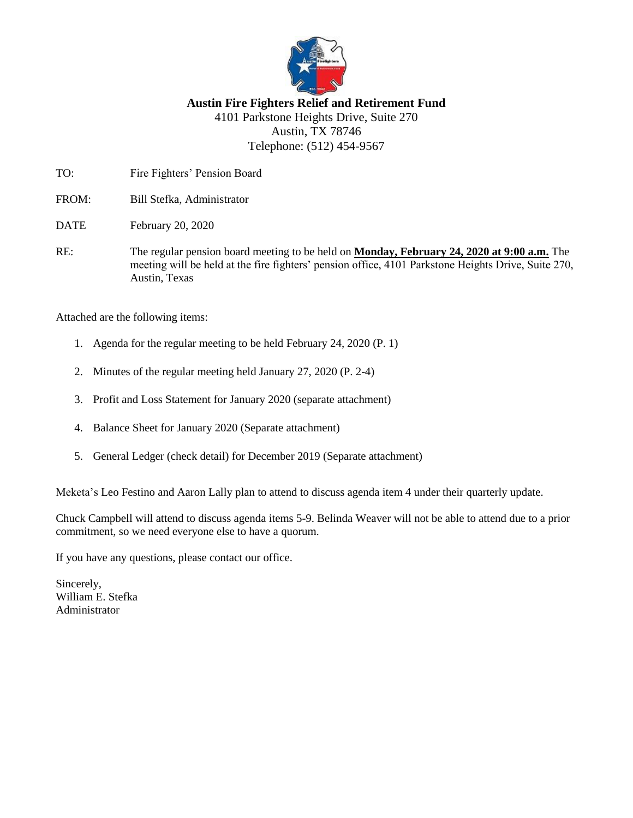

# **Austin Fire Fighters Relief and Retirement Fund** 4101 Parkstone Heights Drive, Suite 270 Austin, TX 78746 Telephone: (512) 454-9567

TO: Fire Fighters' Pension Board

FROM: Bill Stefka, Administrator

DATE February 20, 2020

RE: The regular pension board meeting to be held on **Monday, February 24, 2020 at 9:00 a.m.** The meeting will be held at the fire fighters' pension office, 4101 Parkstone Heights Drive, Suite 270, Austin, Texas

Attached are the following items:

- 1. Agenda for the regular meeting to be held February 24, 2020 (P. 1)
- 2. Minutes of the regular meeting held January 27, 2020 (P. 2-4)
- 3. Profit and Loss Statement for January 2020 (separate attachment)
- 4. Balance Sheet for January 2020 (Separate attachment)
- 5. General Ledger (check detail) for December 2019 (Separate attachment)

Meketa's Leo Festino and Aaron Lally plan to attend to discuss agenda item 4 under their quarterly update.

Chuck Campbell will attend to discuss agenda items 5-9. Belinda Weaver will not be able to attend due to a prior commitment, so we need everyone else to have a quorum.

If you have any questions, please contact our office.

Sincerely, William E. Stefka Administrator